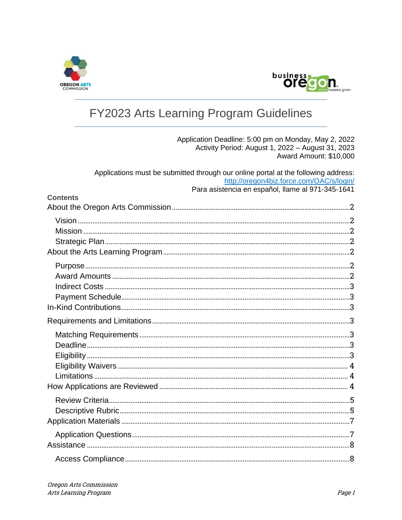



# FY2023 Arts Learning Program Guidelines

Application Deadline: 5:00 pm on Monday, May 2, 2022 Activity Period: August 1, 2022 - August 31, 2023 Award Amount: \$10,000

| Applications must be submitted through our online portal at the following address:<br>http://oregon4biz.force.com/OAC/s/login/ |  |
|--------------------------------------------------------------------------------------------------------------------------------|--|
| Para asistencia en español, llame al 971-345-1641<br><b>Contents</b>                                                           |  |
|                                                                                                                                |  |
|                                                                                                                                |  |
|                                                                                                                                |  |
|                                                                                                                                |  |
|                                                                                                                                |  |
|                                                                                                                                |  |
|                                                                                                                                |  |
|                                                                                                                                |  |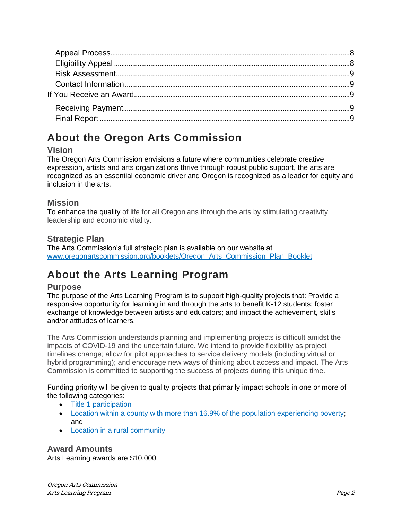# <span id="page-1-0"></span>**About the Oregon Arts Commission**

## <span id="page-1-1"></span>**Vision**

The Oregon Arts Commission envisions a future where communities celebrate creative expression, artists and arts organizations thrive through robust public support, the arts are recognized as an essential economic driver and Oregon is recognized as a leader for equity and inclusion in the arts.

## <span id="page-1-2"></span>**Mission**

To enhance the quality of life for all Oregonians through the arts by stimulating creativity, leadership and economic vitality.

## <span id="page-1-3"></span>**Strategic Plan**

The Arts Commission's full strategic plan is available on our website at [www.oregonartscommission.org/booklets/Oregon\\_Arts\\_Commission\\_Plan\\_Booklet](http://www.oregonartscommission.org/booklets/Oregon_Arts_Commission_Plan_Booklet)

# <span id="page-1-4"></span>**About the Arts Learning Program**

### <span id="page-1-5"></span>**Purpose**

The purpose of the Arts Learning Program is to support high-quality projects that: Provide a responsive opportunity for learning in and through the arts to benefit K-12 students; foster exchange of knowledge between artists and educators; and impact the achievement, skills and/or attitudes of learners.

The Arts Commission understands planning and implementing projects is difficult amidst the impacts of COVID-19 and the uncertain future. We intend to provide flexibility as project timelines change; allow for pilot approaches to service delivery models (including virtual or hybrid programming); and encourage new ways of thinking about access and impact. The Arts Commission is committed to supporting the success of projects during this unique time.

Funding priority will be given to quality projects that primarily impact schools in one or more of the following categories:

- [Title 1 participation](https://www.oregon.gov/ode/schools-and-districts/grants/ESEA/IA/Pages/Title-IA-Resources.aspx)
- [Location within a county with more than 16.9% of the population experiencing poverty;](https://data.ers.usda.gov/reports.aspx?ID=17826&AspxAutoDetectCookieSupport=1) and
- [Location in a rural community](https://www.oregon4biz.com/assets/reports/StrategicPlan2018s.pdf)

<span id="page-1-6"></span>**Award Amounts** Arts Learning awards are \$10,000.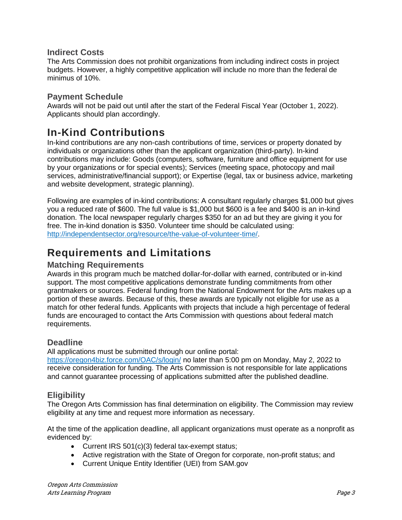#### <span id="page-2-0"></span>**Indirect Costs**

The Arts Commission does not prohibit organizations from including indirect costs in project budgets. However, a highly competitive application will include no more than the federal de minimus of 10%.

#### <span id="page-2-1"></span>**Payment Schedule**

Awards will not be paid out until after the start of the Federal Fiscal Year (October 1, 2022). Applicants should plan accordingly.

## <span id="page-2-2"></span>**In-Kind Contributions**

In-kind contributions are any non-cash contributions of time, services or property donated by individuals or organizations other than the applicant organization (third-party). In-kind contributions may include: Goods (computers, software, furniture and office equipment for use by your organizations or for special events); Services (meeting space, photocopy and mail services, administrative/financial support); or Expertise (legal, tax or business advice, marketing and website development, strategic planning).

Following are examples of in-kind contributions: A consultant regularly charges \$1,000 but gives you a reduced rate of \$600. The full value is \$1,000 but \$600 is a fee and \$400 is an in-kind donation. The local newspaper regularly charges \$350 for an ad but they are giving it you for free. The in-kind donation is \$350. Volunteer time should be calculated using: [http://independentsector.org/resource/the-value-of-volunteer-time/.](http://independentsector.org/resource/the-value-of-volunteer-time/)

## <span id="page-2-3"></span>**Requirements and Limitations**

#### <span id="page-2-4"></span>**Matching Requirements**

Awards in this program much be matched dollar-for-dollar with earned, contributed or in-kind support. The most competitive applications demonstrate funding commitments from other grantmakers or sources. Federal funding from the National Endowment for the Arts makes up a portion of these awards. Because of this, these awards are typically not eligible for use as a match for other federal funds. Applicants with projects that include a high percentage of federal funds are encouraged to contact the Arts Commission with questions about federal match requirements.

### <span id="page-2-5"></span>**Deadline**

All applications must be submitted through our online portal:

<https://oregon4biz.force.com/OAC/s/login/> no later than 5:00 pm on Monday, May 2, 2022 to receive consideration for funding. The Arts Commission is not responsible for late applications and cannot guarantee processing of applications submitted after the published deadline.

### <span id="page-2-6"></span>**Eligibility**

The Oregon Arts Commission has final determination on eligibility. The Commission may review eligibility at any time and request more information as necessary.

At the time of the application deadline, all applicant organizations must operate as a nonprofit as evidenced by:

- Current IRS 501(c)(3) federal tax-exempt status;
- Active registration with the State of Oregon for corporate, non-profit status; and
- Current Unique Entity Identifier (UEI) from SAM.gov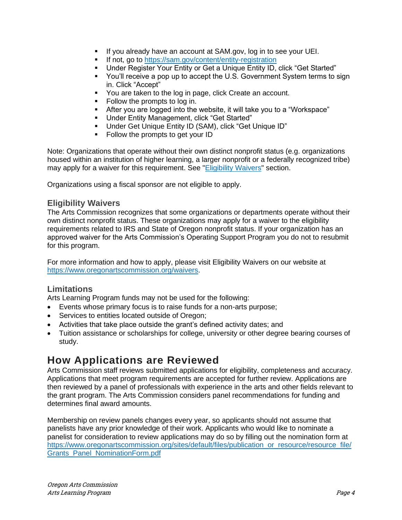- If you already have an account at SAM.gov, log in to see your UEI.
- If not, go to<https://sam.gov/content/entity-registration>
- Under Register Your Entity or Get a Unique Entity ID, click "Get Started"<br>■ You'll receive a pop up to accept the U.S. Government System terms to :
- You'll receive a pop up to accept the U.S. Government System terms to sign in. Click "Accept"
- You are taken to the log in page, click Create an account.
- Follow the prompts to log in.
- After you are logged into the website, it will take you to a "Workspace"
- Under Entity Management, click "Get Started"
- Under Get Unique Entity ID (SAM), click "Get Unique ID"
- Follow the prompts to get your ID

Note: Organizations that operate without their own distinct nonprofit status (e.g. organizations housed within an institution of higher learning, a larger nonprofit or a federally recognized tribe) may apply for a waiver for this requirement. See ["Eligibility Waivers"](#page-3-0) section.

Organizations using a fiscal sponsor are not eligible to apply.

#### <span id="page-3-0"></span>**Eligibility Waivers**

The Arts Commission recognizes that some organizations or departments operate without their own distinct nonprofit status. These organizations may apply for a waiver to the eligibility requirements related to IRS and State of Oregon nonprofit status. If your organization has an approved waiver for the Arts Commission's Operating Support Program you do not to resubmit for this program.

For more information and how to apply, please visit Eligibility Waivers on our website at [https://www.oregonartscommission.org/waivers.](https://www.oregonartscommission.org/waivers)

#### <span id="page-3-1"></span>**Limitations**

Arts Learning Program funds may not be used for the following:

- Events whose primary focus is to raise funds for a non-arts purpose;
- Services to entities located outside of Oregon;
- Activities that take place outside the grant's defined activity dates; and
- Tuition assistance or scholarships for college, university or other degree bearing courses of study.

## <span id="page-3-2"></span>**How Applications are Reviewed**

Arts Commission staff reviews submitted applications for eligibility, completeness and accuracy. Applications that meet program requirements are accepted for further review. Applications are then reviewed by a panel of professionals with experience in the arts and other fields relevant to the grant program. The Arts Commission considers panel recommendations for funding and determines final award amounts.

Membership on review panels changes every year, so applicants should not assume that panelists have any prior knowledge of their work. Applicants who would like to nominate a panelist for consideration to review applications may do so by filling out the nomination form at [https://www.oregonartscommission.org/sites/default/files/publication\\_or\\_resource/resource\\_file/](https://www.oregonartscommission.org/sites/default/files/publication_or_resource/resource_file/Grants_Panel_NominationForm.pdf) [Grants\\_Panel\\_NominationForm.pdf](https://www.oregonartscommission.org/sites/default/files/publication_or_resource/resource_file/Grants_Panel_NominationForm.pdf)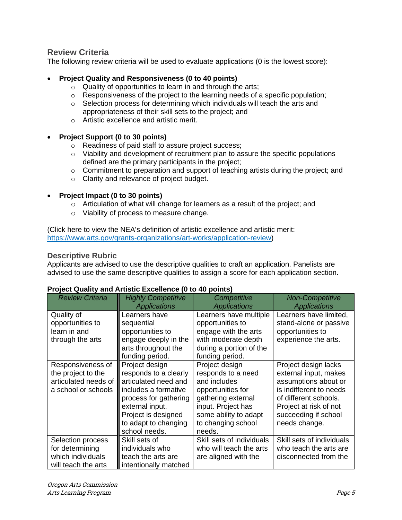#### <span id="page-4-0"></span>**Review Criteria**

The following review criteria will be used to evaluate applications (0 is the lowest score):

#### • **Project Quality and Responsiveness (0 to 40 points)**

- o Quality of opportunities to learn in and through the arts;
- $\circ$  Responsiveness of the project to the learning needs of a specific population;
- $\circ$  Selection process for determining which individuals will teach the arts and appropriateness of their skill sets to the project; and
- o Artistic excellence and artistic merit.

#### • **Project Support (0 to 30 points)**

- o Readiness of paid staff to assure project success;
- $\circ$  Viability and development of recruitment plan to assure the specific populations defined are the primary participants in the project;
- $\circ$  Commitment to preparation and support of teaching artists during the project; and
- o Clarity and relevance of project budget.

#### • **Project Impact (0 to 30 points)**

- o Articulation of what will change for learners as a result of the project; and
- o Viability of process to measure change.

(Click here to view the NEA's definition of artistic excellence and artistic merit: [https://www.arts.gov/grants-organizations/art-works/application-review\)](https://www.arts.gov/grants-organizations/art-works/application-review)

#### <span id="page-4-1"></span>**Descriptive Rubric**

Applicants are advised to use the descriptive qualities to craft an application. Panelists are advised to use the same descriptive qualities to assign a score for each application section.

#### **Project Quality and Artistic Excellence (0 to 40 points)**

| <b>Review Criteria</b>                                                                 | <b>Highly Competitive</b><br><b>Applications</b>                                                                                                                                                    | Competitive<br><b>Applications</b>                                                                                                                                             | <b>Non-Competitive</b><br><b>Applications</b>                                                                                                                                                |
|----------------------------------------------------------------------------------------|-----------------------------------------------------------------------------------------------------------------------------------------------------------------------------------------------------|--------------------------------------------------------------------------------------------------------------------------------------------------------------------------------|----------------------------------------------------------------------------------------------------------------------------------------------------------------------------------------------|
| Quality of<br>opportunities to<br>learn in and<br>through the arts                     | Learners have<br>sequential<br>opportunities to<br>engage deeply in the<br>arts throughout the<br>funding period.                                                                                   | Learners have multiple<br>opportunities to<br>engage with the arts<br>with moderate depth<br>during a portion of the<br>funding period.                                        | Learners have limited,<br>stand-alone or passive<br>opportunities to<br>experience the arts.                                                                                                 |
| Responsiveness of<br>the project to the<br>articulated needs of<br>a school or schools | Project design<br>responds to a clearly<br>articulated need and<br>includes a formative<br>process for gathering<br>external input.<br>Project is designed<br>to adapt to changing<br>school needs. | Project design<br>responds to a need<br>and includes<br>opportunities for<br>gathering external<br>input. Project has<br>some ability to adapt<br>to changing school<br>needs. | Project design lacks<br>external input, makes<br>assumptions about or<br>is indifferent to needs<br>of different schools.<br>Project at risk of not<br>succeeding if school<br>needs change. |
| Selection process<br>for determining<br>which individuals<br>will teach the arts       | Skill sets of<br>individuals who<br>teach the arts are<br>intentionally matched                                                                                                                     | Skill sets of individuals<br>who will teach the arts<br>are aligned with the                                                                                                   | Skill sets of individuals<br>who teach the arts are<br>disconnected from the                                                                                                                 |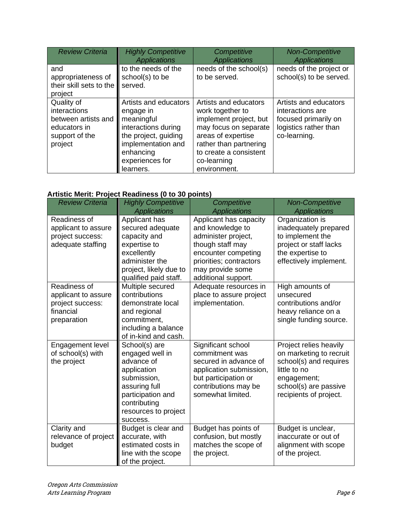| <b>Review Criteria</b>                                                                         | <b>Highly Competitive</b><br><b>Applications</b>                                                                                                                   | Competitive<br><b>Applications</b>                                                                                                                                                                    | <b>Non-Competitive</b><br><b>Applications</b>                                                              |
|------------------------------------------------------------------------------------------------|--------------------------------------------------------------------------------------------------------------------------------------------------------------------|-------------------------------------------------------------------------------------------------------------------------------------------------------------------------------------------------------|------------------------------------------------------------------------------------------------------------|
| and<br>appropriateness of<br>their skill sets to the<br>project                                | to the needs of the<br>school(s) to be<br>served.                                                                                                                  | needs of the school(s)<br>to be served.                                                                                                                                                               | needs of the project or<br>school(s) to be served.                                                         |
| Quality of<br>interactions<br>between artists and<br>educators in<br>support of the<br>project | Artists and educators<br>engage in<br>meaningful<br>interactions during<br>the project, guiding<br>implementation and<br>enhancing<br>experiences for<br>learners. | Artists and educators<br>work together to<br>implement project, but<br>may focus on separate<br>areas of expertise<br>rather than partnering<br>to create a consistent<br>co-learning<br>environment. | Artists and educators<br>interactions are<br>focused primarily on<br>logistics rather than<br>co-learning. |

## **Artistic Merit: Project Readiness (0 to 30 points)**

| <b>Review Criteria</b>                                                              | <b>Highly Competitive</b>                                                                                                                                              | Competitive                                                                                                                                                   | <b>Non-Competitive</b>                                                                                                                                        |
|-------------------------------------------------------------------------------------|------------------------------------------------------------------------------------------------------------------------------------------------------------------------|---------------------------------------------------------------------------------------------------------------------------------------------------------------|---------------------------------------------------------------------------------------------------------------------------------------------------------------|
|                                                                                     | <b>Applications</b>                                                                                                                                                    | <b>Applications</b>                                                                                                                                           | <b>Applications</b>                                                                                                                                           |
| Readiness of<br>applicant to assure<br>project success:<br>adequate staffing        | Applicant has<br>secured adequate<br>capacity and<br>expertise to<br>excellently<br>administer the<br>project, likely due to                                           | Applicant has capacity<br>and knowledge to<br>administer project,<br>though staff may<br>encounter competing<br>priorities; contractors<br>may provide some   | Organization is<br>inadequately prepared<br>to implement the<br>project or staff lacks<br>the expertise to<br>effectively implement.                          |
| Readiness of<br>applicant to assure<br>project success:<br>financial<br>preparation | qualified paid staff.<br>Multiple secured<br>contributions<br>demonstrate local<br>and regional<br>commitment,<br>including a balance<br>of in-kind and cash.          | additional support.<br>Adequate resources in<br>place to assure project<br>implementation.                                                                    | High amounts of<br>unsecured<br>contributions and/or<br>heavy reliance on a<br>single funding source.                                                         |
| Engagement level<br>of school(s) with<br>the project                                | School(s) are<br>engaged well in<br>advance of<br>application<br>submission,<br>assuring full<br>participation and<br>contributing<br>resources to project<br>success. | Significant school<br>commitment was<br>secured in advance of<br>application submission,<br>but participation or<br>contributions may be<br>somewhat limited. | Project relies heavily<br>on marketing to recruit<br>school(s) and requires<br>little to no<br>engagement;<br>school(s) are passive<br>recipients of project. |
| Clarity and<br>relevance of project<br>budget                                       | Budget is clear and<br>accurate, with<br>estimated costs in<br>line with the scope<br>of the project.                                                                  | Budget has points of<br>confusion, but mostly<br>matches the scope of<br>the project.                                                                         | Budget is unclear,<br>inaccurate or out of<br>alignment with scope<br>of the project.                                                                         |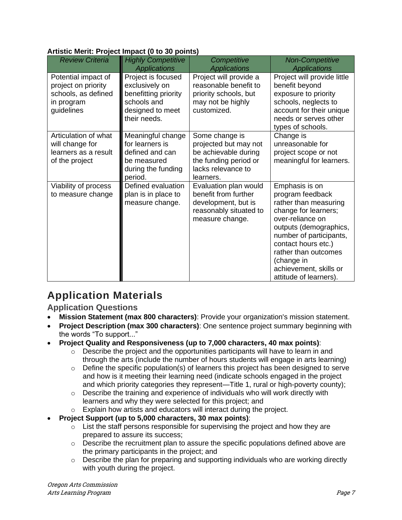#### **Artistic Merit: Project Impact (0 to 30 points)**

| <b>Review Criteria</b>                                                                        | <b>Highly Competitive</b>                                                                                       | Competitive                                                                                                                 | <b>Non-Competitive</b>                                                                                                                                                                                                                                                        |
|-----------------------------------------------------------------------------------------------|-----------------------------------------------------------------------------------------------------------------|-----------------------------------------------------------------------------------------------------------------------------|-------------------------------------------------------------------------------------------------------------------------------------------------------------------------------------------------------------------------------------------------------------------------------|
|                                                                                               | <b>Applications</b>                                                                                             | <b>Applications</b>                                                                                                         | <b>Applications</b>                                                                                                                                                                                                                                                           |
| Potential impact of<br>project on priority<br>schools, as defined<br>in program<br>guidelines | Project is focused<br>exclusively on<br>benefitting priority<br>schools and<br>designed to meet<br>their needs. | Project will provide a<br>reasonable benefit to<br>priority schools, but<br>may not be highly<br>customized.                | Project will provide little<br>benefit beyond<br>exposure to priority<br>schools, neglects to<br>account for their unique<br>needs or serves other<br>types of schools.                                                                                                       |
| Articulation of what<br>will change for<br>learners as a result<br>of the project             | Meaningful change<br>for learners is<br>defined and can<br>be measured<br>during the funding<br>period.         | Some change is<br>projected but may not<br>be achievable during<br>the funding period or<br>lacks relevance to<br>learners. | Change is<br>unreasonable for<br>project scope or not<br>meaningful for learners.                                                                                                                                                                                             |
| Viability of process<br>to measure change                                                     | Defined evaluation<br>plan is in place to<br>measure change.                                                    | Evaluation plan would<br>benefit from further<br>development, but is<br>reasonably situated to<br>measure change.           | Emphasis is on<br>program feedback<br>rather than measuring<br>change for learners;<br>over-reliance on<br>outputs (demographics,<br>number of participants,<br>contact hours etc.)<br>rather than outcomes<br>(change in<br>achievement, skills or<br>attitude of learners). |

# <span id="page-6-0"></span>**Application Materials**

<span id="page-6-1"></span>**Application Questions**

- **Mission Statement (max 800 characters)**: Provide your organization's mission statement.
- **Project Description (max 300 characters)**: One sentence project summary beginning with the words "To support..."
- **Project Quality and Responsiveness (up to 7,000 characters, 40 max points)**:
	- $\circ$  Describe the project and the opportunities participants will have to learn in and through the arts (include the number of hours students will engage in arts learning)
	- $\circ$  Define the specific population(s) of learners this project has been designed to serve and how is it meeting their learning need (indicate schools engaged in the project and which priority categories they represent—Title 1, rural or high-poverty county);
	- $\circ$  Describe the training and experience of individuals who will work directly with learners and why they were selected for this project; and
	- o Explain how artists and educators will interact during the project.
- **Project Support (up to 5,000 characters, 30 max points)**:
	- $\circ$  List the staff persons responsible for supervising the project and how they are prepared to assure its success;
	- $\circ$  Describe the recruitment plan to assure the specific populations defined above are the primary participants in the project; and
	- $\circ$  Describe the plan for preparing and supporting individuals who are working directly with youth during the project.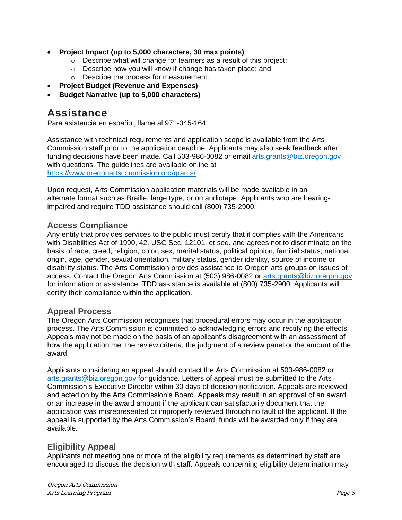- **Project Impact (up to 5,000 characters, 30 max points)**:
	- o Describe what will change for learners as a result of this project;
	- o Describe how you will know if change has taken place; and
	- o Describe the process for measurement.
- **Project Budget (Revenue and Expenses)**
- **Budget Narrative (up to 5,000 characters)**

## <span id="page-7-0"></span>**Assistance**

Para asistencia en español, llame al 971-345-1641

Assistance with technical requirements and application scope is available from the Arts Commission staff prior to the application deadline. Applicants may also seek feedback after funding decisions have been made. Call 503-986-0082 or email [arts.grants@biz.oregon.gov](mailto:arts.grants@biz.oregon.gov) with questions. The guidelines are available online at <https://www.oregonartscommission.org/grants/>

Upon request, Arts Commission application materials will be made available in an alternate format such as Braille, large type, or on audiotape. Applicants who are hearing‐ impaired and require TDD assistance should call (800) 735‐2900.

#### <span id="page-7-1"></span>**Access Compliance**

Any entity that provides services to the public must certify that it complies with the Americans with Disabilities Act of 1990, 42, USC Sec. 12101, et seq. and agrees not to discriminate on the basis of race, creed, religion, color, sex, marital status, political opinion, familial status, national origin, age, gender, sexual orientation, military status, gender identity, source of income or disability status. The Arts Commission provides assistance to Oregon arts groups on issues of access. Contact the Oregon Arts Commission at (503) 986-0082 or [arts.grants@biz.oregon.gov](mailto:arts.grants@biz.oregon.gov) for information or assistance. TDD assistance is available at (800) 735-2900. Applicants will certify their compliance within the application.

#### <span id="page-7-2"></span>**Appeal Process**

The Oregon Arts Commission recognizes that procedural errors may occur in the application process. The Arts Commission is committed to acknowledging errors and rectifying the effects. Appeals may not be made on the basis of an applicant's disagreement with an assessment of how the application met the review criteria, the judgment of a review panel or the amount of the award.

Applicants considering an appeal should contact the Arts Commission at 503-986-0082 or [arts.grants@biz.oregon.gov](mailto:arts.grants@biz.oregon.gov) for guidance. Letters of appeal must be submitted to the Arts Commission's Executive Director within 30 days of decision notification. Appeals are reviewed and acted on by the Arts Commission's Board. Appeals may result in an approval of an award or an increase in the award amount if the applicant can satisfactorily document that the application was misrepresented or improperly reviewed through no fault of the applicant. If the appeal is supported by the Arts Commission's Board, funds will be awarded only if they are available.

### <span id="page-7-3"></span>**Eligibility Appeal**

Applicants not meeting one or more of the eligibility requirements as determined by staff are encouraged to discuss the decision with staff. Appeals concerning eligibility determination may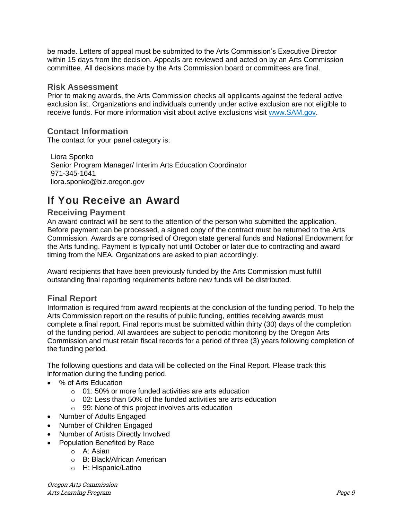be made. Letters of appeal must be submitted to the Arts Commission's Executive Director within 15 days from the decision. Appeals are reviewed and acted on by an Arts Commission committee. All decisions made by the Arts Commission board or committees are final.

#### <span id="page-8-0"></span>**Risk Assessment**

Prior to making awards, the Arts Commission checks all applicants against the federal active exclusion list. Organizations and individuals currently under active exclusion are not eligible to receive funds. For more information visit about active exclusions visit [www.SAM.gov.](http://www.sam.gov/)

#### <span id="page-8-1"></span>**Contact Information**

The contact for your panel category is:

Liora Sponko Senior Program Manager/ Interim Arts Education Coordinator 971-345-1641 liora.sponko@biz.oregon.gov

## <span id="page-8-2"></span>**If You Receive an Award**

#### <span id="page-8-3"></span>**Receiving Payment**

An award contract will be sent to the attention of the person who submitted the application. Before payment can be processed, a signed copy of the contract must be returned to the Arts Commission. Awards are comprised of Oregon state general funds and National Endowment for the Arts funding. Payment is typically not until October or later due to contracting and award timing from the NEA. Organizations are asked to plan accordingly.

Award recipients that have been previously funded by the Arts Commission must fulfill outstanding final reporting requirements before new funds will be distributed.

### <span id="page-8-4"></span>**Final Report**

Information is required from award recipients at the conclusion of the funding period. To help the Arts Commission report on the results of public funding, entities receiving awards must complete a final report. Final reports must be submitted within thirty (30) days of the completion of the funding period. All awardees are subject to periodic monitoring by the Oregon Arts Commission and must retain fiscal records for a period of three (3) years following completion of the funding period.

The following questions and data will be collected on the Final Report. Please track this information during the funding period.

- % of Arts Education
	- o 01: 50% or more funded activities are arts education
	- o 02: Less than 50% of the funded activities are arts education
	- o 99: None of this project involves arts education
- Number of Adults Engaged
- Number of Children Engaged
- Number of Artists Directly Involved
- Population Benefited by Race
	- o A: Asian
	- o B: Black/African American
	- o H: Hispanic/Latino

Oregon Arts Commission Arts Learning Program Page 9 (1999) and the state of the state of the state of the state of the state of the state of the state of the state of the state of the state of the state of the state of the state of the state of